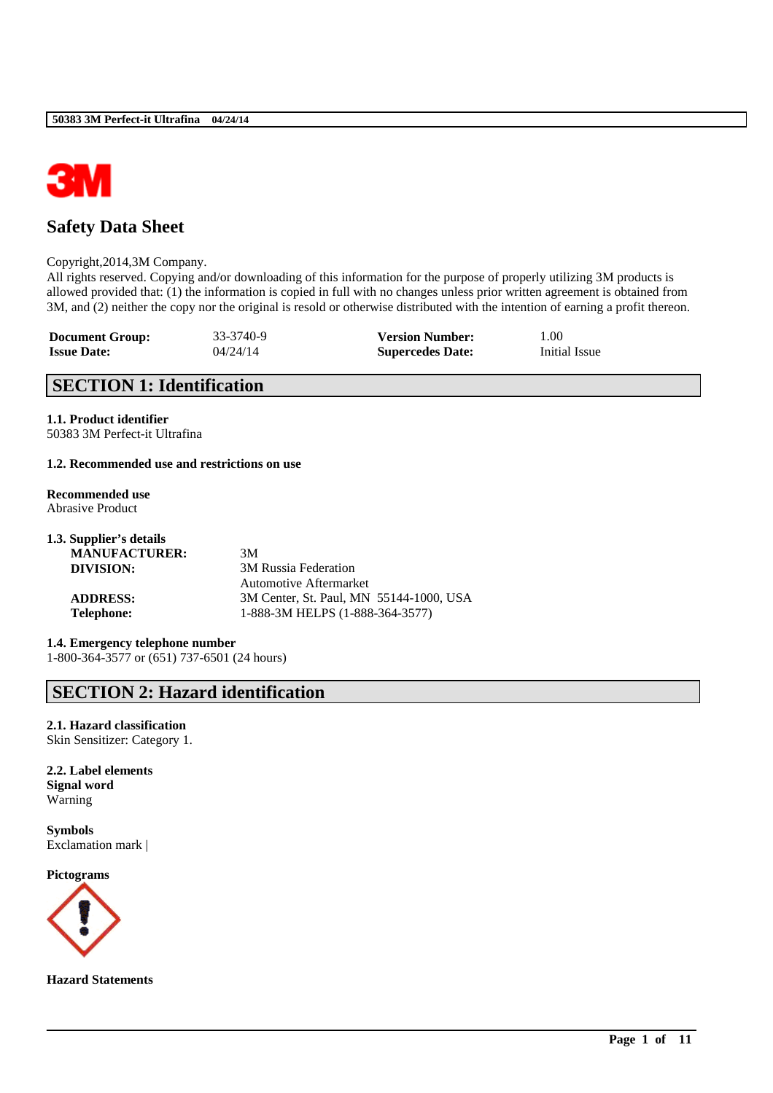

# **Safety Data Sheet**

#### Copyright,2014,3M Company.

All rights reserved. Copying and/or downloading of this information for the purpose of properly utilizing 3M products is allowed provided that: (1) the information is copied in full with no changes unless prior written agreement is obtained from 3M, and (2) neither the copy nor the original is resold or otherwise distributed with the intention of earning a profit thereon.

\_\_\_\_\_\_\_\_\_\_\_\_\_\_\_\_\_\_\_\_\_\_\_\_\_\_\_\_\_\_\_\_\_\_\_\_\_\_\_\_\_\_\_\_\_\_\_\_\_\_\_\_\_\_\_\_\_\_\_\_\_\_\_\_\_\_\_\_\_\_\_\_\_\_\_\_\_\_\_\_\_\_\_\_\_\_\_\_\_\_

| <b>Document Group:</b> | 33-3740-9 | <b>Version Number:</b>  | 1.00          |
|------------------------|-----------|-------------------------|---------------|
| <b>Issue Date:</b>     | 04/24/14  | <b>Supercedes Date:</b> | Initial Issue |

# **SECTION 1: Identification**

# **1.1. Product identifier**

50383 3M Perfect-it Ultrafina

## **1.2. Recommended use and restrictions on use**

**Recommended use** Abrasive Product

| 1.3. Supplier's details |                                         |
|-------------------------|-----------------------------------------|
| <b>MANUFACTURER:</b>    | 3M                                      |
| DIVISION:               | 3M Russia Federation                    |
|                         | Automotive Aftermarket                  |
| <b>ADDRESS:</b>         | 3M Center, St. Paul, MN 55144-1000, USA |
| <b>Telephone:</b>       | 1-888-3M HELPS (1-888-364-3577)         |

**1.4. Emergency telephone number** 1-800-364-3577 or (651) 737-6501 (24 hours)

# **SECTION 2: Hazard identification**

**2.1. Hazard classification** Skin Sensitizer: Category 1.

**2.2. Label elements Signal word** Warning

**Symbols** Exclamation mark |

**Pictograms**



**Hazard Statements**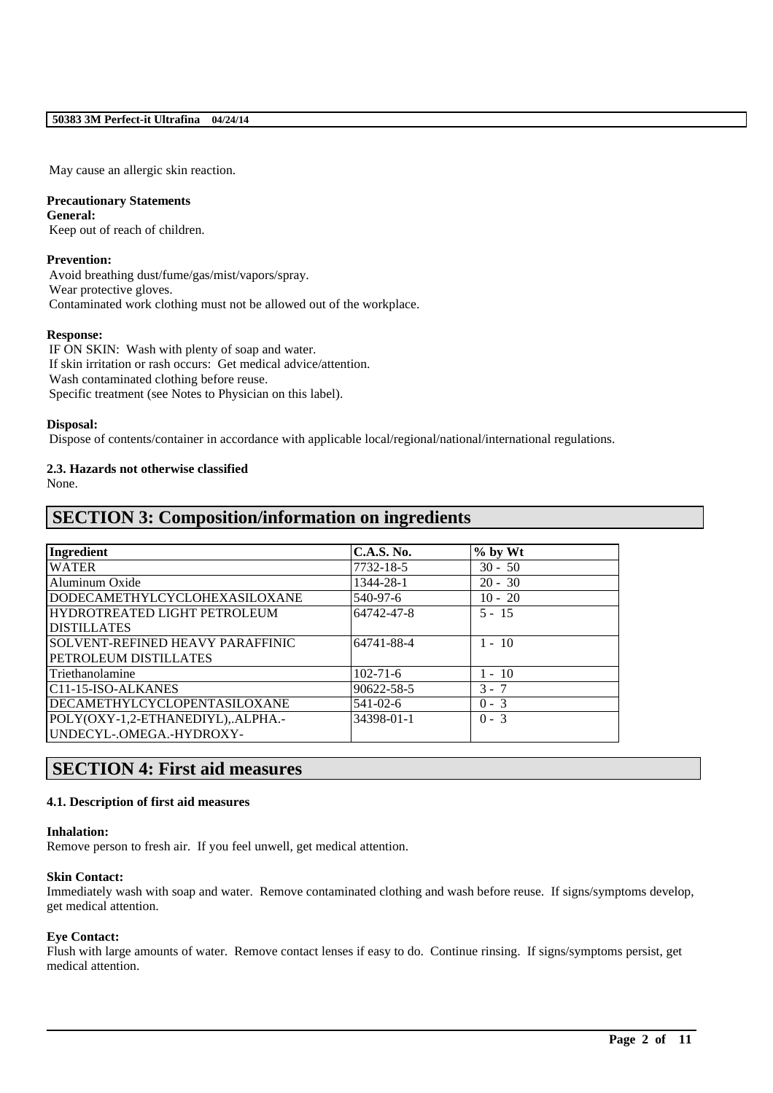May cause an allergic skin reaction.

## **Precautionary Statements**

**General:** Keep out of reach of children.

## **Prevention:**

Avoid breathing dust/fume/gas/mist/vapors/spray. Wear protective gloves. Contaminated work clothing must not be allowed out of the workplace.

## **Response:**

IF ON SKIN: Wash with plenty of soap and water. If skin irritation or rash occurs: Get medical advice/attention. Wash contaminated clothing before reuse. Specific treatment (see Notes to Physician on this label).

## **Disposal:**

Dispose of contents/container in accordance with applicable local/regional/national/international regulations.

# **2.3. Hazards not otherwise classified**

None.

# **SECTION 3: Composition/information on ingredients**

| Ingredient                              | C.A.S. No.     | $%$ by Wt |  |
|-----------------------------------------|----------------|-----------|--|
| <b>WATER</b>                            | 7732-18-5      | $30 - 50$ |  |
| Aluminum Oxide                          | 1344-28-1      | $20 - 30$ |  |
| <b>DODECAMETHYLCYCLOHEXASILOXANE</b>    | 540-97-6       | $10 - 20$ |  |
| HYDROTREATED LIGHT PETROLEUM            | 64742-47-8     | $5 - 15$  |  |
| <b>DISTILLATES</b>                      |                |           |  |
| <b>SOLVENT-REFINED HEAVY PARAFFINIC</b> | 64741-88-4     | $1 - 10$  |  |
| PETROLEUM DISTILLATES                   |                |           |  |
| l Triethanolamine                       | $102 - 71 - 6$ | $1 - 10$  |  |
| IC11-15-ISO-ALKANES                     | 90622-58-5     | $3 - 7$   |  |
| <b>DECAMETHYLCYCLOPENTASILOXANE</b>     | $541 - 02 - 6$ | $0 - 3$   |  |
| POLY(OXY-1,2-ETHANEDIYL),.ALPHA.-       | 34398-01-1     | $0 - 3$   |  |
| UNDECYL-.OMEGA.-HYDROXY-                |                |           |  |

# **SECTION 4: First aid measures**

## **4.1. Description of first aid measures**

## **Inhalation:**

Remove person to fresh air. If you feel unwell, get medical attention.

## **Skin Contact:**

Immediately wash with soap and water. Remove contaminated clothing and wash before reuse. If signs/symptoms develop, get medical attention.

## **Eye Contact:**

Flush with large amounts of water. Remove contact lenses if easy to do. Continue rinsing. If signs/symptoms persist, get medical attention.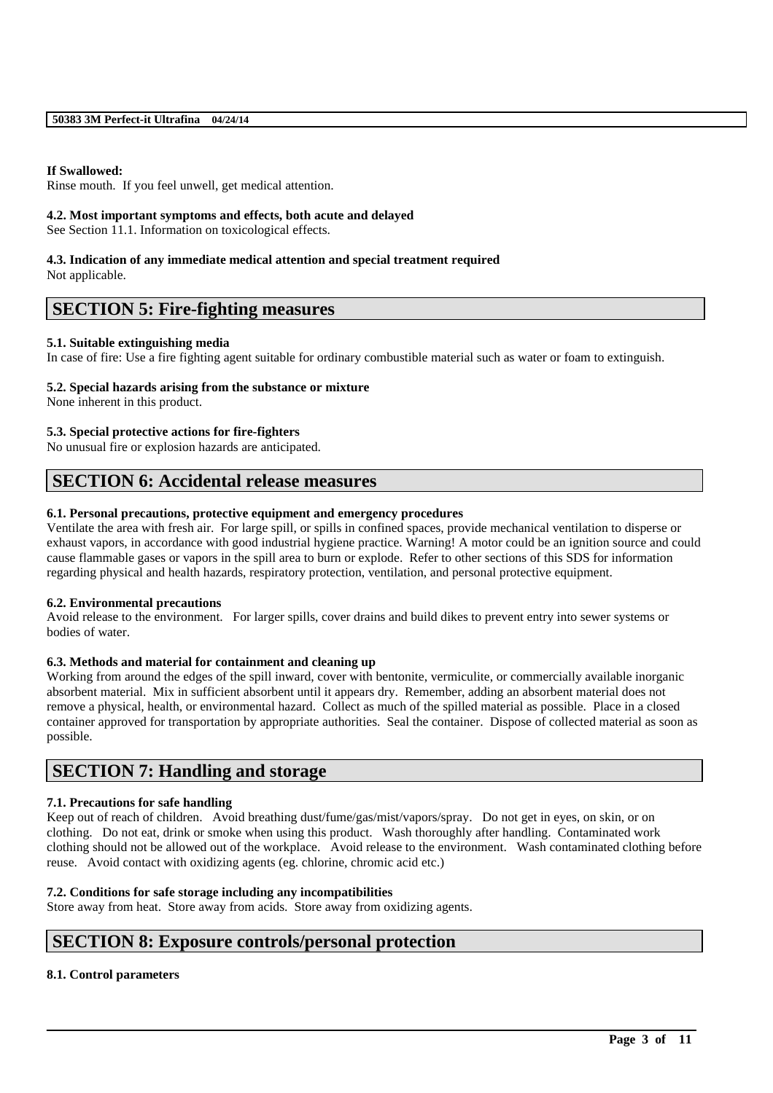### **If Swallowed:**

Rinse mouth. If you feel unwell, get medical attention.

### **4.2. Most important symptoms and effects, both acute and delayed**

See Section 11.1. Information on toxicological effects.

#### **4.3. Indication of any immediate medical attention and special treatment required** Not applicable.

## **SECTION 5: Fire-fighting measures**

#### **5.1. Suitable extinguishing media**

In case of fire: Use a fire fighting agent suitable for ordinary combustible material such as water or foam to extinguish.

#### **5.2. Special hazards arising from the substance or mixture**

None inherent in this product.

## **5.3. Special protective actions for fire-fighters**

No unusual fire or explosion hazards are anticipated.

## **SECTION 6: Accidental release measures**

#### **6.1. Personal precautions, protective equipment and emergency procedures**

Ventilate the area with fresh air. For large spill, or spills in confined spaces, provide mechanical ventilation to disperse or exhaust vapors, in accordance with good industrial hygiene practice. Warning! A motor could be an ignition source and could cause flammable gases or vapors in the spill area to burn or explode. Refer to other sections of this SDS for information regarding physical and health hazards, respiratory protection, ventilation, and personal protective equipment.

#### **6.2. Environmental precautions**

Avoid release to the environment. For larger spills, cover drains and build dikes to prevent entry into sewer systems or bodies of water.

## **6.3. Methods and material for containment and cleaning up**

Working from around the edges of the spill inward, cover with bentonite, vermiculite, or commercially available inorganic absorbent material. Mix in sufficient absorbent until it appears dry. Remember, adding an absorbent material does not remove a physical, health, or environmental hazard. Collect as much of the spilled material as possible. Place in a closed container approved for transportation by appropriate authorities. Seal the container. Dispose of collected material as soon as possible.

## **SECTION 7: Handling and storage**

## **7.1. Precautions for safe handling**

Keep out of reach of children. Avoid breathing dust/fume/gas/mist/vapors/spray. Do not get in eyes, on skin, or on clothing. Do not eat, drink or smoke when using this product. Wash thoroughly after handling. Contaminated work clothing should not be allowed out of the workplace. Avoid release to the environment. Wash contaminated clothing before reuse. Avoid contact with oxidizing agents (eg. chlorine, chromic acid etc.)

\_\_\_\_\_\_\_\_\_\_\_\_\_\_\_\_\_\_\_\_\_\_\_\_\_\_\_\_\_\_\_\_\_\_\_\_\_\_\_\_\_\_\_\_\_\_\_\_\_\_\_\_\_\_\_\_\_\_\_\_\_\_\_\_\_\_\_\_\_\_\_\_\_\_\_\_\_\_\_\_\_\_\_\_\_\_\_\_\_\_

## **7.2. Conditions for safe storage including any incompatibilities**

Store away from heat. Store away from acids. Store away from oxidizing agents.

## **SECTION 8: Exposure controls/personal protection**

## **8.1. Control parameters**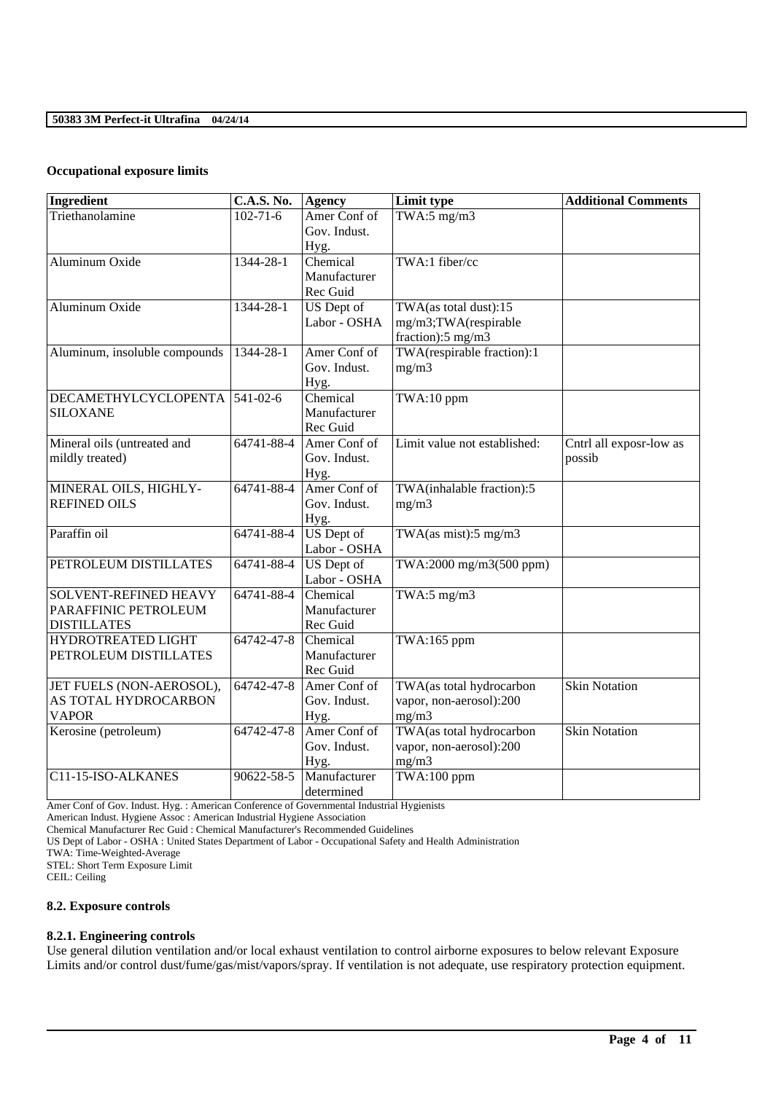## **Occupational exposure limits**

| Ingredient                                                          | <b>C.A.S. No.</b> | <b>Agency</b>                        | Limit type                                                         | <b>Additional Comments</b>        |
|---------------------------------------------------------------------|-------------------|--------------------------------------|--------------------------------------------------------------------|-----------------------------------|
| Triethanolamine                                                     | $102 - 71 - 6$    | Amer Conf of<br>Gov. Indust.<br>Hyg. | TWA:5 $mg/m3$                                                      |                                   |
| Aluminum Oxide                                                      | 1344-28-1         | Chemical<br>Manufacturer<br>Rec Guid | TWA:1 fiber/cc                                                     |                                   |
| Aluminum Oxide                                                      | 1344-28-1         | <b>US</b> Dept of<br>Labor - OSHA    | TWA(as total dust):15<br>mg/m3;TWA(respirable<br>fraction):5 mg/m3 |                                   |
| Aluminum, insoluble compounds                                       | 1344-28-1         | Amer Conf of<br>Gov. Indust.<br>Hyg. | TWA(respirable fraction):1<br>mg/m3                                |                                   |
| DECAMETHYLCYCLOPENTA<br><b>SILOXANE</b>                             | $541 - 02 - 6$    | Chemical<br>Manufacturer<br>Rec Guid | TWA:10 ppm                                                         |                                   |
| Mineral oils (untreated and<br>mildly treated)                      | 64741-88-4        | Amer Conf of<br>Gov. Indust.<br>Hyg. | Limit value not established:                                       | Cntrl all exposr-low as<br>possib |
| MINERAL OILS, HIGHLY-<br><b>REFINED OILS</b>                        | 64741-88-4        | Amer Conf of<br>Gov. Indust.<br>Hyg. | TWA(inhalable fraction):5<br>mg/m3                                 |                                   |
| Paraffin oil                                                        | 64741-88-4        | <b>US</b> Dept of<br>Labor - OSHA    | TWA $(as \text{ mist})$ :5 mg/m3                                   |                                   |
| PETROLEUM DISTILLATES                                               | 64741-88-4        | <b>US</b> Dept of<br>Labor - OSHA    | TWA:2000 mg/m3(500 ppm)                                            |                                   |
| SOLVENT-REFINED HEAVY<br>PARAFFINIC PETROLEUM<br><b>DISTILLATES</b> | 64741-88-4        | Chemical<br>Manufacturer<br>Rec Guid | TWA:5 $mg/m3$                                                      |                                   |
| HYDROTREATED LIGHT<br>PETROLEUM DISTILLATES                         | 64742-47-8        | Chemical<br>Manufacturer<br>Rec Guid | TWA:165 ppm                                                        |                                   |
| JET FUELS (NON-AEROSOL),<br>AS TOTAL HYDROCARBON<br><b>VAPOR</b>    | 64742-47-8        | Amer Conf of<br>Gov. Indust.<br>Hyg. | TWA(as total hydrocarbon<br>vapor, non-aerosol):200<br>mg/m3       | <b>Skin Notation</b>              |
| Kerosine (petroleum)                                                | 64742-47-8        | Amer Conf of<br>Gov. Indust.<br>Hyg. | TWA(as total hydrocarbon<br>vapor, non-aerosol):200<br>mg/m3       | <b>Skin Notation</b>              |
| C11-15-ISO-ALKANES                                                  | 90622-58-5        | Manufacturer<br>determined           | TWA:100 ppm                                                        |                                   |

Amer Conf of Gov. Indust. Hyg. : American Conference of Governmental Industrial Hygienists

American Indust. Hygiene Assoc : American Industrial Hygiene Association

Chemical Manufacturer Rec Guid : Chemical Manufacturer's Recommended Guidelines

US Dept of Labor - OSHA : United States Department of Labor - Occupational Safety and Health Administration

TWA: Time-Weighted-Average

STEL: Short Term Exposure Limit

CEIL: Ceiling

### **8.2. Exposure controls**

#### **8.2.1. Engineering controls**

Use general dilution ventilation and/or local exhaust ventilation to control airborne exposures to below relevant Exposure Limits and/or control dust/fume/gas/mist/vapors/spray. If ventilation is not adequate, use respiratory protection equipment.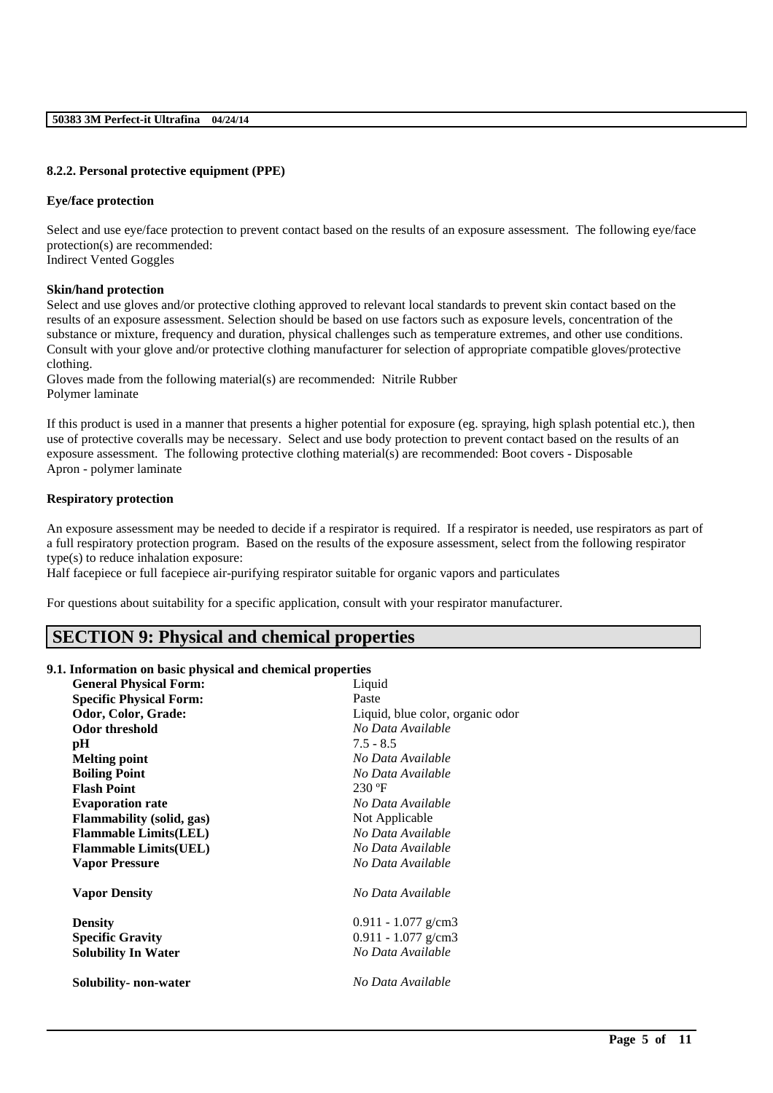#### **8.2.2. Personal protective equipment (PPE)**

#### **Eye/face protection**

Select and use eye/face protection to prevent contact based on the results of an exposure assessment. The following eye/face protection(s) are recommended: Indirect Vented Goggles

## **Skin/hand protection**

Select and use gloves and/or protective clothing approved to relevant local standards to prevent skin contact based on the results of an exposure assessment. Selection should be based on use factors such as exposure levels, concentration of the substance or mixture, frequency and duration, physical challenges such as temperature extremes, and other use conditions. Consult with your glove and/or protective clothing manufacturer for selection of appropriate compatible gloves/protective clothing.

Gloves made from the following material(s) are recommended: Nitrile Rubber Polymer laminate

If this product is used in a manner that presents a higher potential for exposure (eg. spraying, high splash potential etc.), then use of protective coveralls may be necessary. Select and use body protection to prevent contact based on the results of an exposure assessment. The following protective clothing material(s) are recommended: Boot covers - Disposable Apron - polymer laminate

#### **Respiratory protection**

An exposure assessment may be needed to decide if a respirator is required. If a respirator is needed, use respirators as part of a full respiratory protection program. Based on the results of the exposure assessment, select from the following respirator type(s) to reduce inhalation exposure:

\_\_\_\_\_\_\_\_\_\_\_\_\_\_\_\_\_\_\_\_\_\_\_\_\_\_\_\_\_\_\_\_\_\_\_\_\_\_\_\_\_\_\_\_\_\_\_\_\_\_\_\_\_\_\_\_\_\_\_\_\_\_\_\_\_\_\_\_\_\_\_\_\_\_\_\_\_\_\_\_\_\_\_\_\_\_\_\_\_\_

Half facepiece or full facepiece air-purifying respirator suitable for organic vapors and particulates

For questions about suitability for a specific application, consult with your respirator manufacturer.

## **SECTION 9: Physical and chemical properties**

#### **9.1. Information on basic physical and chemical properties**

| <b>General Physical Form:</b>    | Liquid                           |
|----------------------------------|----------------------------------|
| <b>Specific Physical Form:</b>   | Paste                            |
| Odor, Color, Grade:              | Liquid, blue color, organic odor |
| <b>Odor threshold</b>            | No Data Available                |
| pН                               | $7.5 - 8.5$                      |
| <b>Melting point</b>             | No Data Available                |
| <b>Boiling Point</b>             | No Data Available                |
| <b>Flash Point</b>               | $230 \text{°F}$                  |
| <b>Evaporation rate</b>          | No Data Available                |
| <b>Flammability</b> (solid, gas) | Not Applicable                   |
| <b>Flammable Limits(LEL)</b>     | No Data Available                |
| <b>Flammable Limits(UEL)</b>     | No Data Available                |
| <b>Vapor Pressure</b>            | No Data Available                |
| <b>Vapor Density</b>             | No Data Available                |
| <b>Density</b>                   | $0.911 - 1.077$ g/cm3            |
| <b>Specific Gravity</b>          | $0.911 - 1.077$ g/cm3            |
| <b>Solubility In Water</b>       | No Data Available                |
| Solubility- non-water            | No Data Available                |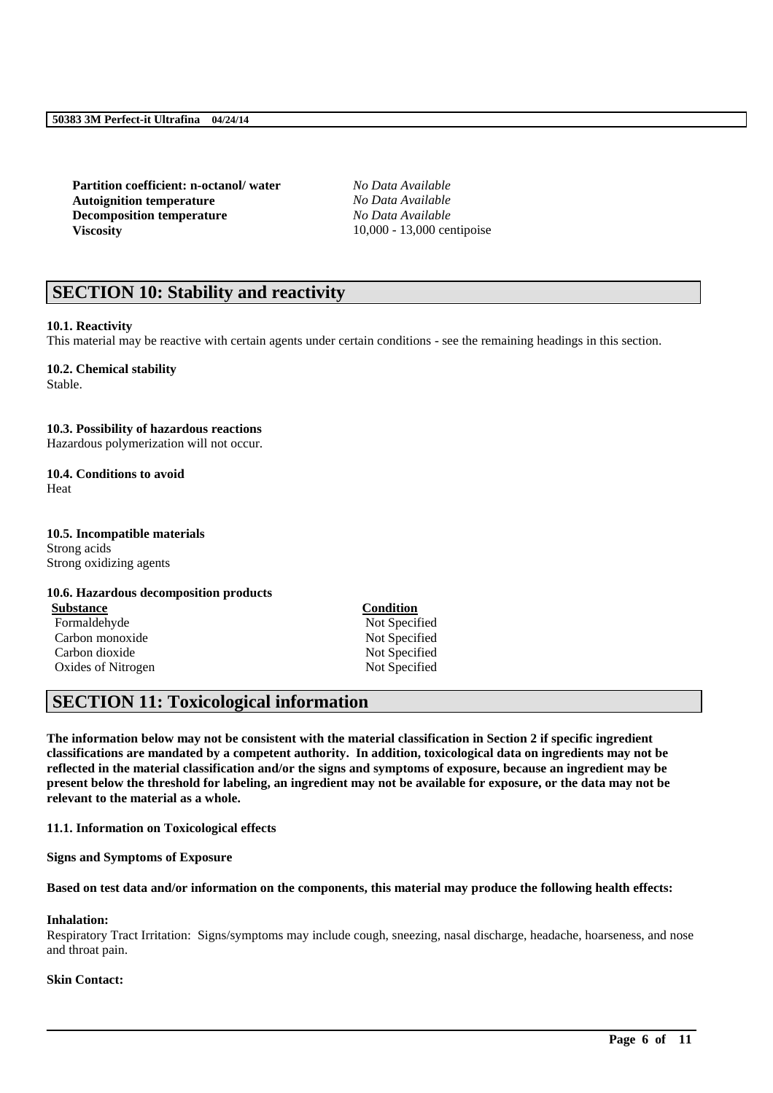**Partition coefficient: n-octanol/ water** *No Data Available* **Autoignition temperature** *No Data Available* **Decomposition temperature** *No Data Available* **Viscosity** 10,000 - 13,000 centipoise

# **SECTION 10: Stability and reactivity**

## **10.1. Reactivity**

This material may be reactive with certain agents under certain conditions - see the remaining headings in this section.

#### **10.2. Chemical stability**

Stable.

#### **10.3. Possibility of hazardous reactions**

Hazardous polymerization will not occur.

#### **10.4. Conditions to avoid** Heat

#### **10.5. Incompatible materials**

Strong acids Strong oxidizing agents

#### **10.6. Hazardous decomposition products**

**Substance Condition** Formaldehyde Not Specified Carbon monoxide Not Specified Carbon dioxide Not Specified Oxides of Nitrogen Not Specified

## **SECTION 11: Toxicological information**

**The information below may not be consistent with the material classification in Section 2 if specific ingredient classifications are mandated by a competent authority. In addition, toxicological data on ingredients may not be reflected in the material classification and/or the signs and symptoms of exposure, because an ingredient may be present below the threshold for labeling, an ingredient may not be available for exposure, or the data may not be relevant to the material as a whole.**

**11.1. Information on Toxicological effects**

**Signs and Symptoms of Exposure**

**Based on test data and/or information on the components, this material may produce the following health effects:**

#### **Inhalation:**

Respiratory Tract Irritation: Signs/symptoms may include cough, sneezing, nasal discharge, headache, hoarseness, and nose and throat pain.

\_\_\_\_\_\_\_\_\_\_\_\_\_\_\_\_\_\_\_\_\_\_\_\_\_\_\_\_\_\_\_\_\_\_\_\_\_\_\_\_\_\_\_\_\_\_\_\_\_\_\_\_\_\_\_\_\_\_\_\_\_\_\_\_\_\_\_\_\_\_\_\_\_\_\_\_\_\_\_\_\_\_\_\_\_\_\_\_\_\_

#### **Skin Contact:**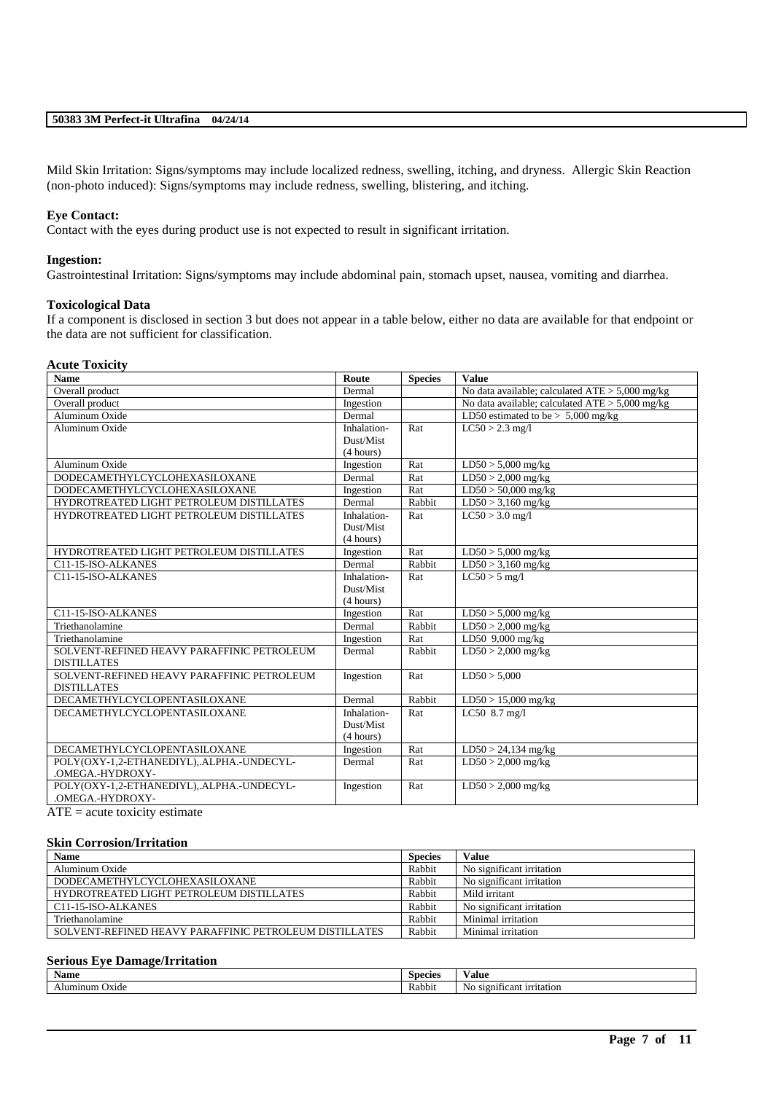Mild Skin Irritation: Signs/symptoms may include localized redness, swelling, itching, and dryness. Allergic Skin Reaction (non-photo induced): Signs/symptoms may include redness, swelling, blistering, and itching.

### **Eye Contact:**

Contact with the eyes during product use is not expected to result in significant irritation.

#### **Ingestion:**

Gastrointestinal Irritation: Signs/symptoms may include abdominal pain, stomach upset, nausea, vomiting and diarrhea.

#### **Toxicological Data**

If a component is disclosed in section 3 but does not appear in a table below, either no data are available for that endpoint or the data are not sufficient for classification.

#### **Acute Toxicity**

| <b>Name</b>                                | Route       | <b>Species</b> | <b>Value</b>                                      |
|--------------------------------------------|-------------|----------------|---------------------------------------------------|
| Overall product                            | Dermal      |                | No data available; calculated $ATE > 5,000$ mg/kg |
| Overall product                            | Ingestion   |                | No data available; calculated $ATE > 5,000$ mg/kg |
| Aluminum Oxide                             | Dermal      |                | LD50 estimated to be $> 5,000$ mg/kg              |
| Aluminum Oxide                             | Inhalation- | Rat            | $LC50 > 2.3$ mg/l                                 |
|                                            | Dust/Mist   |                |                                                   |
|                                            | (4 hours)   |                |                                                   |
| Aluminum Oxide                             | Ingestion   | Rat            | $LD50 > 5,000$ mg/kg                              |
| <b>DODECAMETHYLCYCLOHEXASILOXANE</b>       | Dermal      | Rat            | $LD50 > 2,000$ mg/kg                              |
| DODECAMETHYLCYCLOHEXASILOXANE              | Ingestion   | Rat            | $LD50 > 50,000$ mg/kg                             |
| HYDROTREATED LIGHT PETROLEUM DISTILLATES   | Dermal      | Rabbit         | $LD50 > 3,160$ mg/kg                              |
| HYDROTREATED LIGHT PETROLEUM DISTILLATES   | Inhalation- | Rat            | $LC50 > 3.0$ mg/l                                 |
|                                            | Dust/Mist   |                |                                                   |
|                                            | (4 hours)   |                |                                                   |
| HYDROTREATED LIGHT PETROLEUM DISTILLATES   | Ingestion   | Rat            | $LD50 > 5,000$ mg/kg                              |
| C11-15-ISO-ALKANES                         | Dermal      | Rabbit         | $LD50 > 3,160$ mg/kg                              |
| C11-15-ISO-ALKANES                         | Inhalation- | Rat            | $LC50 > 5$ mg/l                                   |
|                                            | Dust/Mist   |                |                                                   |
|                                            | (4 hours)   |                |                                                   |
| C11-15-ISO-ALKANES                         | Ingestion   | Rat            | $LD50 > 5,000$ mg/kg                              |
| Triethanolamine                            | Dermal      | Rabbit         | $LD50 > 2,000$ mg/kg                              |
| Triethanolamine                            | Ingestion   | Rat            | LD50 $9,000$ mg/kg                                |
| SOLVENT-REFINED HEAVY PARAFFINIC PETROLEUM | Dermal      | Rabbit         | $LD50 > 2,000$ mg/kg                              |
| <b>DISTILLATES</b>                         |             |                |                                                   |
| SOLVENT-REFINED HEAVY PARAFFINIC PETROLEUM | Ingestion   | Rat            | LD50 > 5,000                                      |
| <b>DISTILLATES</b>                         |             |                |                                                   |
| <b>DECAMETHYLCYCLOPENTASILOXANE</b>        | Dermal      | Rabbit         | $LD50 > 15,000$ mg/kg                             |
| DECAMETHYLCYCLOPENTASILOXANE               | Inhalation- | Rat            | LC50 8.7 mg/l                                     |
|                                            | Dust/Mist   |                |                                                   |
|                                            | (4 hours)   |                |                                                   |
| DECAMETHYLCYCLOPENTASILOXANE               | Ingestion   | Rat            | $LD50 > 24,134$ mg/kg                             |
| POLY(OXY-1,2-ETHANEDIYL), ALPHA.-UNDECYL-  | Dermal      | Rat            | $LD50 > 2,000$ mg/kg                              |
| .OMEGA.-HYDROXY-                           |             |                |                                                   |
| POLY(OXY-1,2-ETHANEDIYL), ALPHA.-UNDECYL-  | Ingestion   | Rat            | $LD50 > 2,000$ mg/kg                              |
| .OMEGA.-HYDROXY-                           |             |                |                                                   |
| $ATE = acute$ toxicity estimate            |             |                |                                                   |

#### **Skin Corrosion/Irritation**

| <b>Name</b>                                            | <b>Species</b> | <b>Value</b>              |
|--------------------------------------------------------|----------------|---------------------------|
| Aluminum Oxide                                         | Rabbit         | No significant irritation |
| DODECAMETHYLCYCLOHEXASILOXANE                          | Rabbit         | No significant irritation |
| HYDROTREATED LIGHT PETROLEUM DISTILLATES               | Rabbit         | Mild irritant             |
| C <sub>11</sub> -15-ISO-ALKANES                        | Rabbit         | No significant irritation |
| Triethanolamine                                        | Rabbit         | Minimal irritation        |
| SOLVENT-REFINED HEAVY PARAFFINIC PETROLEUM DISTILLATES | Rabbit         | Minimal irritation        |

#### **Serious Eye Damage/Irritation**

| Name                     | Species | Value                        |
|--------------------------|---------|------------------------------|
| Alumınum<br><b>Oxide</b> | Rabbit  | No<br>significant irritation |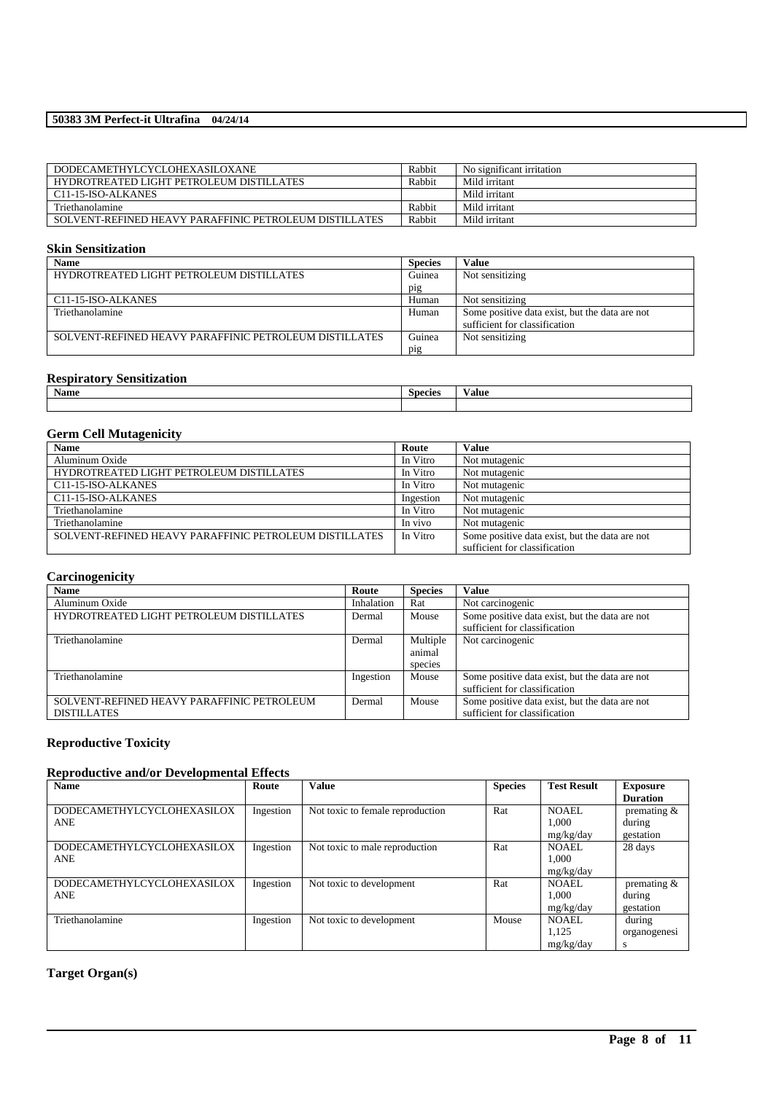| DODECAMETHYLCYCLOHEXASILOXANE                          | Rabbit | No significant irritation |
|--------------------------------------------------------|--------|---------------------------|
| HYDROTREATED LIGHT PETROLEUM DISTILLATES               | Rabbit | Mild irritant             |
| C <sub>11</sub> -15-ISO-ALKANES                        |        | Mild irritant             |
| Triethanolamine                                        | Rabbit | Mild irritant             |
| SOLVENT-REFINED HEAVY PARAFFINIC PETROLEUM DISTILLATES | Rabbit | Mild irritant             |

## **Skin Sensitization**

| <b>Name</b>                                            | <b>Species</b> | <b>Value</b>                                   |
|--------------------------------------------------------|----------------|------------------------------------------------|
| HYDROTREATED LIGHT PETROLEUM DISTILLATES               | Guinea         | Not sensitizing                                |
|                                                        | pig            |                                                |
| C11-15-ISO-ALKANES                                     | Human          | Not sensitizing                                |
| Triethanolamine                                        | Human          | Some positive data exist, but the data are not |
|                                                        |                | sufficient for classification                  |
| SOLVENT-REFINED HEAVY PARAFFINIC PETROLEUM DISTILLATES | Guinea         | Not sensitizing                                |
|                                                        | pig            |                                                |

## **Respiratory Sensitization**

| -------------<br>--------------------- |                   |              |
|----------------------------------------|-------------------|--------------|
| Name                                   | $\sim$<br>Species | $-$<br>√alue |
|                                        |                   |              |

## **Germ Cell Mutagenicity**

| <b>Name</b>                                            | Route     | <b>Value</b>                                   |
|--------------------------------------------------------|-----------|------------------------------------------------|
| Aluminum Oxide                                         | In Vitro  | Not mutagenic                                  |
| HYDROTREATED LIGHT PETROLEUM DISTILLATES               | In Vitro  | Not mutagenic                                  |
| C11-15-ISO-ALKANES                                     | In Vitro  | Not mutagenic                                  |
| C11-15-ISO-ALKANES                                     | Ingestion | Not mutagenic                                  |
| Triethanolamine                                        | In Vitro  | Not mutagenic                                  |
| Triethanolamine                                        | In vivo   | Not mutagenic                                  |
| SOLVENT-REFINED HEAVY PARAFFINIC PETROLEUM DISTILLATES | In Vitro  | Some positive data exist, but the data are not |
|                                                        |           | sufficient for classification                  |

## **Carcinogenicity**

| <b>Name</b>                                | Route      | <b>Species</b> | <b>Value</b>                                   |
|--------------------------------------------|------------|----------------|------------------------------------------------|
| Aluminum Oxide                             | Inhalation | Rat            | Not carcinogenic                               |
| HYDROTREATED LIGHT PETROLEUM DISTILLATES   | Dermal     | Mouse          | Some positive data exist, but the data are not |
|                                            |            |                | sufficient for classification                  |
| Triethanolamine                            | Dermal     | Multiple       | Not carcinogenic                               |
|                                            |            | animal         |                                                |
|                                            |            | species        |                                                |
| Triethanolamine                            | Ingestion  | Mouse          | Some positive data exist, but the data are not |
|                                            |            |                | sufficient for classification                  |
| SOLVENT-REFINED HEAVY PARAFFINIC PETROLEUM | Dermal     | Mouse          | Some positive data exist, but the data are not |
| <b>DISTILLATES</b>                         |            |                | sufficient for classification                  |

## **Reproductive Toxicity**

## **Reproductive and/or Developmental Effects**

| <b>Name</b>                       | Route     | <b>Value</b>                     | <b>Species</b> | <b>Test Result</b> | <b>Exposure</b> |
|-----------------------------------|-----------|----------------------------------|----------------|--------------------|-----------------|
|                                   |           |                                  |                |                    | <b>Duration</b> |
| <b>DODECAMETHYLCYCLOHEXASILOX</b> | Ingestion | Not toxic to female reproduction | Rat            | <b>NOAEL</b>       | premating $\&$  |
| <b>ANE</b>                        |           |                                  |                | 1.000              | during          |
|                                   |           |                                  |                | mg/kg/day          | gestation       |
| <b>DODECAMETHYLCYCLOHEXASILOX</b> | Ingestion | Not toxic to male reproduction   | Rat            | <b>NOAEL</b>       | 28 days         |
| <b>ANE</b>                        |           |                                  |                | 1.000              |                 |
|                                   |           |                                  |                | mg/kg/day          |                 |
| <b>DODECAMETHYLCYCLOHEXASILOX</b> | Ingestion | Not toxic to development         | Rat            | NOAEL.             | premating $&$   |
| <b>ANE</b>                        |           |                                  |                | 1.000              | during          |
|                                   |           |                                  |                | mg/kg/day          | gestation       |
| Triethanolamine                   | Ingestion | Not toxic to development         | Mouse          | NOAEL              | during          |
|                                   |           |                                  |                | 1.125              | organogenesi    |
|                                   |           |                                  |                | mg/kg/day          | S               |

\_\_\_\_\_\_\_\_\_\_\_\_\_\_\_\_\_\_\_\_\_\_\_\_\_\_\_\_\_\_\_\_\_\_\_\_\_\_\_\_\_\_\_\_\_\_\_\_\_\_\_\_\_\_\_\_\_\_\_\_\_\_\_\_\_\_\_\_\_\_\_\_\_\_\_\_\_\_\_\_\_\_\_\_\_\_\_\_\_\_

## **Target Organ(s)**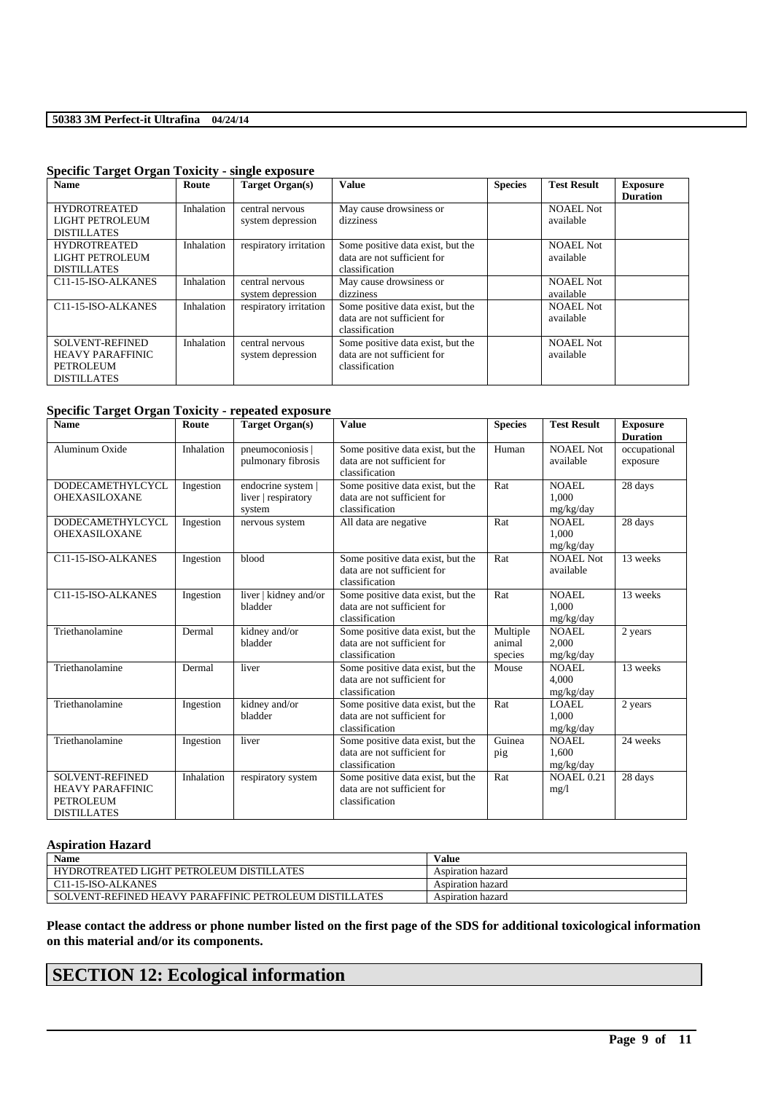| <b>Name</b>                                                                          | Route      | Target Organ(s)                      | <b>Value</b>                                                                       | <b>Species</b> | <b>Test Result</b>            | <b>Exposure</b><br><b>Duration</b> |
|--------------------------------------------------------------------------------------|------------|--------------------------------------|------------------------------------------------------------------------------------|----------------|-------------------------------|------------------------------------|
| <b>HYDROTREATED</b><br>LIGHT PETROLEUM<br><b>DISTILLATES</b>                         | Inhalation | central nervous<br>system depression | May cause drowsiness or<br>dizziness                                               |                | <b>NOAEL Not</b><br>available |                                    |
| <b>HYDROTREATED</b><br>LIGHT PETROLEUM<br><b>DISTILLATES</b>                         | Inhalation | respiratory irritation               | Some positive data exist, but the<br>data are not sufficient for<br>classification |                | <b>NOAEL Not</b><br>available |                                    |
| C11-15-ISO-ALKANES                                                                   | Inhalation | central nervous<br>system depression | May cause drowsiness or<br>dizziness                                               |                | <b>NOAEL Not</b><br>available |                                    |
| C11-15-ISO-ALKANES                                                                   | Inhalation | respiratory irritation               | Some positive data exist, but the<br>data are not sufficient for<br>classification |                | NOAEL Not<br>available        |                                    |
| <b>SOLVENT-REFINED</b><br><b>HEAVY PARAFFINIC</b><br>PETROLEUM<br><b>DISTILLATES</b> | Inhalation | central nervous<br>system depression | Some positive data exist, but the<br>data are not sufficient for<br>classification |                | <b>NOAEL Not</b><br>available |                                    |

### **Specific Target Organ Toxicity - single exposure**

### **Specific Target Organ Toxicity - repeated exposure**

| <b>Name</b>                                                                                 | Route      | <b>Target Organ(s)</b>                              | <b>Value</b>                                                                       | <b>Species</b>                | <b>Test Result</b>                 | <b>Exposure</b><br><b>Duration</b> |
|---------------------------------------------------------------------------------------------|------------|-----------------------------------------------------|------------------------------------------------------------------------------------|-------------------------------|------------------------------------|------------------------------------|
| Aluminum Oxide                                                                              | Inhalation | pneumoconiosis<br>pulmonary fibrosis                | Some positive data exist, but the<br>data are not sufficient for<br>classification | Human                         | <b>NOAEL Not</b><br>available      | occupational<br>exposure           |
| <b>DODECAMETHYLCYCL</b><br><b>OHEXASILOXANE</b>                                             | Ingestion  | endocrine system  <br>liver   respiratory<br>system | Some positive data exist, but the<br>data are not sufficient for<br>classification | Rat                           | <b>NOAEL</b><br>1.000<br>mg/kg/day | 28 days                            |
| DODECAMETHYLCYCL<br><b>OHEXASILOXANE</b>                                                    | Ingestion  | nervous system                                      | All data are negative                                                              | Rat                           | NOAEL.<br>1.000<br>mg/kg/day       | 28 days                            |
| C11-15-ISO-ALKANES                                                                          | Ingestion  | blood                                               | Some positive data exist, but the<br>data are not sufficient for<br>classification | Rat                           | NOAEL Not<br>available             | 13 weeks                           |
| C11-15-ISO-ALKANES                                                                          | Ingestion  | liver   kidney and/or<br>bladder                    | Some positive data exist, but the<br>data are not sufficient for<br>classification | Rat                           | NOAEL.<br>1.000<br>mg/kg/day       | 13 weeks                           |
| Triethanolamine                                                                             | Dermal     | kidney and/or<br>bladder                            | Some positive data exist, but the<br>data are not sufficient for<br>classification | Multiple<br>animal<br>species | <b>NOAEL</b><br>2.000<br>mg/kg/day | 2 years                            |
| Triethanolamine                                                                             | Dermal     | liver                                               | Some positive data exist, but the<br>data are not sufficient for<br>classification | Mouse                         | <b>NOAEL</b><br>4.000<br>mg/kg/day | 13 weeks                           |
| Triethanolamine                                                                             | Ingestion  | kidney and/or<br>bladder                            | Some positive data exist, but the<br>data are not sufficient for<br>classification | Rat                           | LOAEL<br>1.000<br>mg/kg/day        | 2 years                            |
| Triethanolamine                                                                             | Ingestion  | liver                                               | Some positive data exist, but the<br>data are not sufficient for<br>classification | Guinea<br>pig                 | <b>NOAEL</b><br>1.600<br>mg/kg/day | 24 weeks                           |
| <b>SOLVENT-REFINED</b><br><b>HEAVY PARAFFINIC</b><br><b>PETROLEUM</b><br><b>DISTILLATES</b> | Inhalation | respiratory system                                  | Some positive data exist, but the<br>data are not sufficient for<br>classification | Rat                           | <b>NOAEL 0.21</b><br>mg/1          | 28 days                            |

## **Aspiration Hazard**

| Name                                                   | Value             |
|--------------------------------------------------------|-------------------|
| HYDROTREATED LIGHT PETROLEUM DISTILLATES               | Aspiration hazard |
| C11-15-ISO-ALKANES                                     | Aspiration hazard |
| SOLVENT-REFINED HEAVY PARAFFINIC PETROLEUM DISTILLATES | Aspiration hazard |

**Please contact the address or phone number listed on the first page of the SDS for additional toxicological information on this material and/or its components.**

\_\_\_\_\_\_\_\_\_\_\_\_\_\_\_\_\_\_\_\_\_\_\_\_\_\_\_\_\_\_\_\_\_\_\_\_\_\_\_\_\_\_\_\_\_\_\_\_\_\_\_\_\_\_\_\_\_\_\_\_\_\_\_\_\_\_\_\_\_\_\_\_\_\_\_\_\_\_\_\_\_\_\_\_\_\_\_\_\_\_

# **SECTION 12: Ecological information**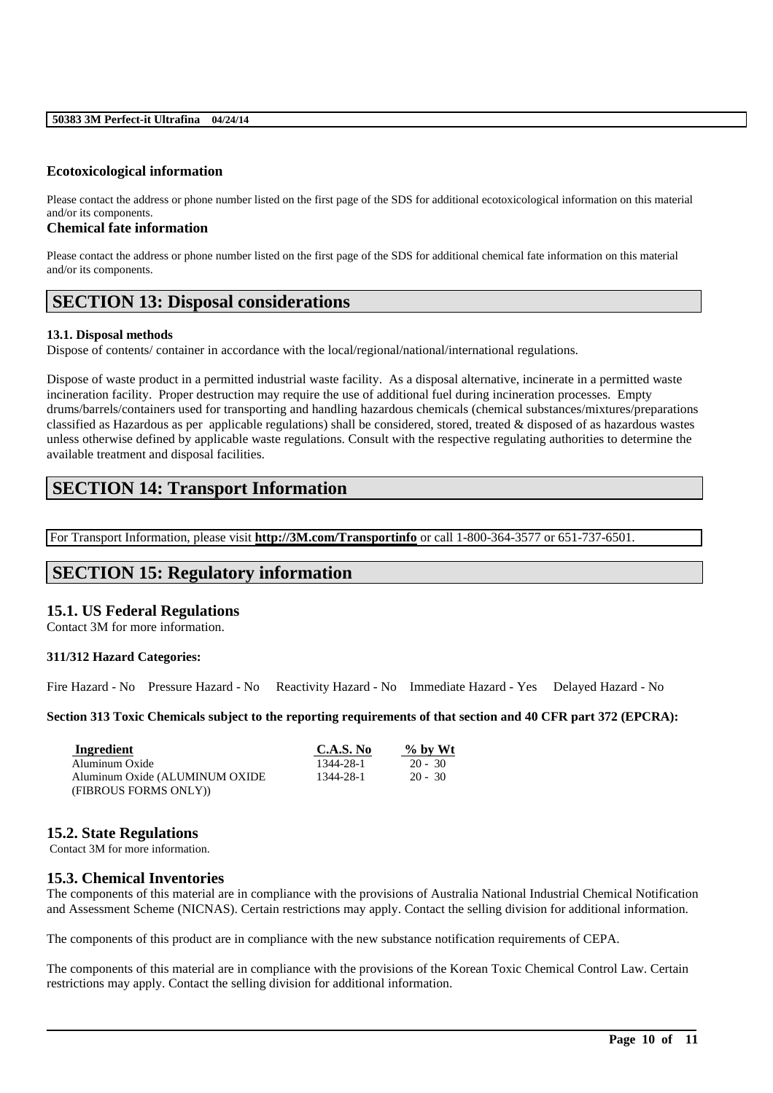## **Ecotoxicological information**

Please contact the address or phone number listed on the first page of the SDS for additional ecotoxicological information on this material and/or its components.

#### **Chemical fate information**

Please contact the address or phone number listed on the first page of the SDS for additional chemical fate information on this material and/or its components.

## **SECTION 13: Disposal considerations**

#### **13.1. Disposal methods**

Dispose of contents/ container in accordance with the local/regional/national/international regulations.

Dispose of waste product in a permitted industrial waste facility. As a disposal alternative, incinerate in a permitted waste incineration facility. Proper destruction may require the use of additional fuel during incineration processes. Empty drums/barrels/containers used for transporting and handling hazardous chemicals (chemical substances/mixtures/preparations classified as Hazardous as per applicable regulations) shall be considered, stored, treated & disposed of as hazardous wastes unless otherwise defined by applicable waste regulations. Consult with the respective regulating authorities to determine the available treatment and disposal facilities.

# **SECTION 14: Transport Information**

For Transport Information, please visit **http://3M.com/Transportinfo** or call 1-800-364-3577 or 651-737-6501.

## **SECTION 15: Regulatory information**

## **15.1. US Federal Regulations**

Contact 3M for more information.

## **311/312 Hazard Categories:**

Fire Hazard - No Pressure Hazard - No Reactivity Hazard - No Immediate Hazard - Yes Delayed Hazard - No

### **Section 313 Toxic Chemicals subject to the reporting requirements of that section and 40 CFR part 372 (EPCRA):**

| Ingredient                      | C.A.S. No | $\%$ by Wt |
|---------------------------------|-----------|------------|
| Aluminum Oxide                  | 1344-28-1 | $20 - 30$  |
| Aluminum Oxide (ALUMINUM OXIDE) | 1344-28-1 | $20 - 30$  |
| (FIBROUS FORMS ONLY))           |           |            |

## **15.2. State Regulations**

Contact 3M for more information.

## **15.3. Chemical Inventories**

The components of this material are in compliance with the provisions of Australia National Industrial Chemical Notification and Assessment Scheme (NICNAS). Certain restrictions may apply. Contact the selling division for additional information.

The components of this product are in compliance with the new substance notification requirements of CEPA.

The components of this material are in compliance with the provisions of the Korean Toxic Chemical Control Law. Certain restrictions may apply. Contact the selling division for additional information.